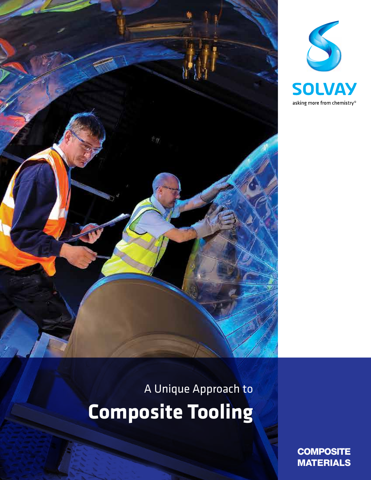



# A Unique Approach to **Composite Tooling**

**MATERIALS COMPOSITE**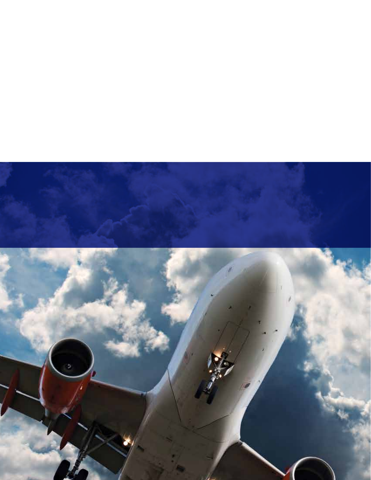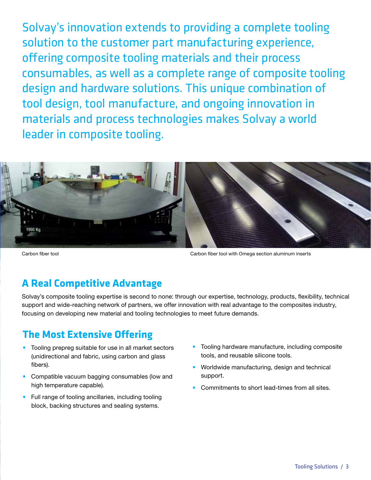Solvay's innovation extends to providing a complete tooling solution to the customer part manufacturing experience, offering composite tooling materials and their process consumables, as well as a complete range of composite tooling design and hardware solutions. This unique combination of tool design, tool manufacture, and ongoing innovation in materials and process technologies makes Solvay a world leader in composite tooling.



Carbon fiber tool Carbon fiber tool with Omega section aluminum inserts

# **A Real Competitive Advantage**

Solvay's composite tooling expertise is second to none: through our expertise, technology, products, flexibility, technical support and wide-reaching network of partners, we offer innovation with real advantage to the composites industry, focusing on developing new material and tooling technologies to meet future demands.

# **The Most Extensive Offering**

- Tooling prepreg suitable for use in all market sectors (unidirectional and fabric, using carbon and glass fibers).
- Compatible vacuum bagging consumables (low and high temperature capable).
- Full range of tooling ancillaries, including tooling block, backing structures and sealing systems.
- Tooling hardware manufacture, including composite tools, and reusable silicone tools.
- Worldwide manufacturing, design and technical support.
- Commitments to short lead-times from all sites.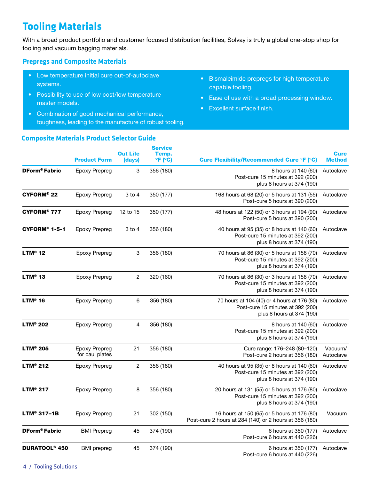# **Tooling Materials**

With a broad product portfolio and customer focused distribution facilities, Solvay is truly a global one-stop shop for tooling and vacuum bagging materials.

# **Prepregs and Composite Materials**

- Low temperature initial cure out-of-autoclave systems.
- Possibility to use of low cost/low temperature master models.
- Combination of good mechanical performance, toughness, leading to the manufacture of robust tooling.
- Bismaleimide prepregs for high temperature capable tooling.
- Ease of use with a broad processing window.
- Excellent surface finish.

|                                 | <b>Product Form</b>                     | <b>Out Life</b><br>(days) | <b>Service</b><br>Temp.<br>$\overline{P}$ ( $\overline{C}$ ) | <b>Cure Flexibility/Recommended Cure °F (°C)</b>                                                              | <b>Cure</b><br><b>Method</b> |
|---------------------------------|-----------------------------------------|---------------------------|--------------------------------------------------------------|---------------------------------------------------------------------------------------------------------------|------------------------------|
| <b>DForm<sup>®</sup> Fabric</b> | <b>Epoxy Prepreg</b>                    | 3                         | 356 (180)                                                    | 8 hours at 140 (60)<br>Post-cure 15 minutes at 392 (200)<br>plus 8 hours at 374 (190)                         | Autoclave                    |
| <b>CYFORM® 22</b>               | <b>Epoxy Prepreg</b>                    | $3$ to $4$                | 350 (177)                                                    | 168 hours at 68 (20) or 5 hours at 131 (55)<br>Post-cure 5 hours at 390 (200)                                 | Autoclave                    |
| <b>CYFORM® 777</b>              | <b>Epoxy Prepreg</b>                    | 12 to 15                  | 350 (177)                                                    | 48 hours at 122 (50) or 3 hours at 194 (90)<br>Post-cure 5 hours at 390 (200)                                 | Autoclave                    |
| <b>CYFORM® 1-5-1</b>            | Epoxy Prepreg                           | 3 to 4                    | 356 (180)                                                    | 40 hours at 95 (35) or 8 hours at 140 (60)<br>Post-cure 15 minutes at 392 (200)<br>plus 8 hours at 374 (190)  | Autoclave                    |
| LTM <sup>®</sup> 12             | <b>Epoxy Prepreg</b>                    | 3                         | 356 (180)                                                    | 70 hours at 86 (30) or 5 hours at 158 (70)<br>Post-cure 15 minutes at 392 (200)<br>plus 8 hours at 374 (190)  | Autoclave                    |
| LTM® 13                         | <b>Epoxy Prepreg</b>                    | $\overline{c}$            | 320 (160)                                                    | 70 hours at 86 (30) or 3 hours at 158 (70)<br>Post-cure 15 minutes at 392 (200)<br>plus 8 hours at 374 (190)  | Autoclave                    |
| $LTM°$ 16                       | <b>Epoxy Prepreg</b>                    | 6                         | 356 (180)                                                    | 70 hours at 104 (40) or 4 hours at 176 (80)<br>Post-cure 15 minutes at 392 (200)<br>plus 8 hours at 374 (190) | Autoclave                    |
| <b>LTM<sup>®</sup> 202</b>      | <b>Epoxy Prepreg</b>                    | 4                         | 356 (180)                                                    | 8 hours at 140 (60)<br>Post-cure 15 minutes at 392 (200)<br>plus 8 hours at 374 (190)                         | Autoclave                    |
| LTM <sup>°</sup> 205            | <b>Epoxy Prepreg</b><br>for caul plates | 21                        | 356 (180)                                                    | Cure range: 176-248 (80-120)<br>Post-cure 2 hours at 356 (180)                                                | Vacuum/<br>Autoclave         |
| LTM <sup>°</sup> 212            | Epoxy Prepreg                           | $\overline{2}$            | 356 (180)                                                    | 40 hours at 95 (35) or 8 hours at 140 (60)<br>Post-cure 15 minutes at 392 (200)<br>plus 8 hours at 374 (190)  | Autoclave                    |
| LTM <sup>°</sup> 217            | <b>Epoxy Prepreg</b>                    | 8                         | 356 (180)                                                    | 20 hours at 131 (55) or 5 hours at 176 (80)<br>Post-cure 15 minutes at 392 (200)<br>plus 8 hours at 374 (190) | Autoclave                    |
| $LTM®$ 317–1B                   | <b>Epoxy Prepreg</b>                    | 21                        | 302 (150)                                                    | 16 hours at 150 (65) or 5 hours at 176 (80)<br>Post-cure 2 hours at 284 (140) or 2 hours at 356 (180)         | Vacuum                       |
| <b>DForm<sup>®</sup> Fabric</b> | <b>BMI Prepreg</b>                      | 45                        | 374 (190)                                                    | 6 hours at 350 (177)<br>Post-cure 6 hours at 440 (226)                                                        | Autoclave                    |
| <b>DURATOOL® 450</b>            | <b>BMI</b> prepreg                      | 45                        | 374 (190)                                                    | 6 hours at 350 (177)<br>Post-cure 6 hours at 440 (226)                                                        | Autoclave                    |

## **Composite Materials Product Selector Guide**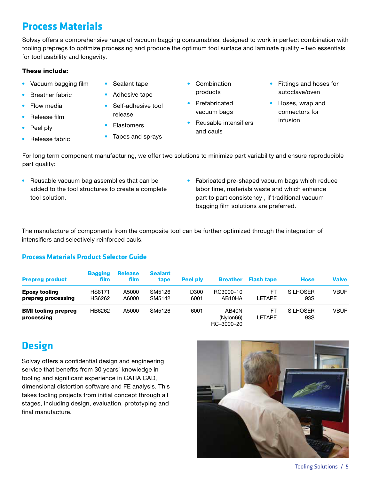# **Process Materials**

Solvay offers a comprehensive range of vacuum bagging consumables, designed to work in perfect combination with tooling prepregs to optimize processing and produce the optimum tool surface and laminate quality – two essentials for tool usability and longevity.

## These include:

- Vacuum bagging film
- **Breather fabric**
- Flow media
- Release film
- Peel plv
- Release fabric
- release • Elastomers

• Sealant tape • Adhesive tape

• Tapes and sprays

• Self-adhesive tool

- Combination products
- Prefabricated vacuum bags
- Reusable intensifiers and cauls
- Fittings and hoses for autoclave/oven
- Hoses, wrap and connectors for infusion

For long term component manufacturing, we offer two solutions to minimize part variability and ensure reproducible part quality:

- Reusable vacuum bag assemblies that can be added to the tool structures to create a complete tool solution.
- Fabricated pre-shaped vacuum bags which reduce labor time, materials waste and which enhance part to part consistency , if traditional vacuum bagging film solutions are preferred.

The manufacture of components from the composite tool can be further optimized through the integration of intensifiers and selectively reinforced cauls.

# **Process Materials Product Selector Guide**

| <b>Prepreg product</b>                     | <b>Bagging</b><br>film  | <b>Release</b><br>film | <b>Sealant</b><br>tape | <b>Peel ply</b> |                                  | <b>Breather</b> Flash tape | <b>Hose</b>            | <b>Valve</b> |
|--------------------------------------------|-------------------------|------------------------|------------------------|-----------------|----------------------------------|----------------------------|------------------------|--------------|
| <b>Epoxy tooling</b><br>prepreg processing | <b>HS8171</b><br>HS6262 | A5000<br>A6000         | SM5126<br>SM5142       | D300<br>6001    | RC3000-10<br>AB10HA              | FТ<br>I FTAPF              | <b>SILHOSER</b><br>93S | <b>VBUF</b>  |
| <b>BMI</b> tooling prepreg<br>processing   | HB6262                  | A5000                  | SM5126                 | 6001            | AB40N<br>(Nylon66)<br>RC-3000-20 | FТ<br><b>LETAPE</b>        | <b>SILHOSER</b><br>93S | <b>VBUF</b>  |

# **Design**

Solvay offers a confidential design and engineering service that benefits from 30 years' knowledge in tooling and significant experience in CATIA CAD, dimensional distortion software and FE analysis. This takes tooling projects from initial concept through all stages, including design, evaluation, prototyping and final manufacture.

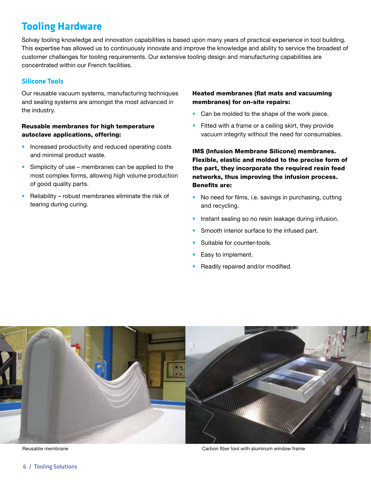# **Tooling Hardware**

Solvay tooling knowledge and innovation capabilities is based upon many years of practical experience in tool building. This expertise has allowed us to continuously innovate and improve the knowledge and ability to service the broadest of customer challenges for tooling requirements. Our extensive tooling design and manufacturing capabilities are concentrated within our French facilities.

## **Silicone Tools**

Our reusable vacuum systems, manufacturing techniques and sealing systems are amongst the most advanced in the industry.

## Reusable membranes for high temperature autoclave applications, offering:

- Increased productivity and reduced operating costs and minimal product waste.
- Simplicity of use membranes can be applied to the most complex forms, allowing high volume production of good quality parts.
- Reliability robust membranes eliminate the risk of tearing during curing.

## Heated membranes (flat mats and vacuuming membranes) for on-site repairs:

- Can be molded to the shape of the work piece.
- Fitted with a frame or a ceiling skirt, they provide vacuum integrity without the need for consumables.

IMS (Infusion Membrane Silicone) membranes. Flexible, elastic and molded to the precise form of the part, they incorporate the required resin feed networks, thus improving the infusion process. Benefits are:

- No need for films, i.e. savings in purchasing, cutting and recycling.
- Instant sealing so no resin leakage during infusion.
- Smooth interior surface to the infused part.
- Suitable for counter-tools.
- Easy to implement.
- Readily repaired and/or modified.



Reusable membrane Carbon fiber tool with aluminum window frame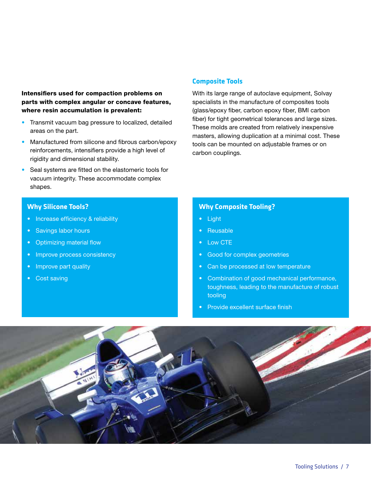## Intensifiers used for compaction problems on parts with complex angular or concave features, where resin accumulation is prevalent:

- Transmit vacuum bag pressure to localized, detailed areas on the part.
- Manufactured from silicone and fibrous carbon/epoxy reinforcements, intensifiers provide a high level of rigidity and dimensional stability.
- Seal systems are fitted on the elastomeric tools for vacuum integrity. These accommodate complex shapes.

## **Composite Tools**

With its large range of autoclave equipment, Solvay specialists in the manufacture of composites tools (glass/epoxy fiber, carbon epoxy fiber, BMI carbon fiber) for tight geometrical tolerances and large sizes. These molds are created from relatively inexpensive masters, allowing duplication at a minimal cost. These tools can be mounted on adjustable frames or on carbon couplings.

#### **Why Silicone Tools?**

- Increase efficiency & reliability
- Savings labor hours
- Optimizing material flow
- Improve process consistency
- Improve part quality
- Cost saving

#### **Why Composite Tooling?**

- Light
- Reusable
- Low CTE
- Good for complex geometries
- Can be processed at low temperature
- Combination of good mechanical performance, toughness, leading to the manufacture of robust tooling
- Provide excellent surface finish